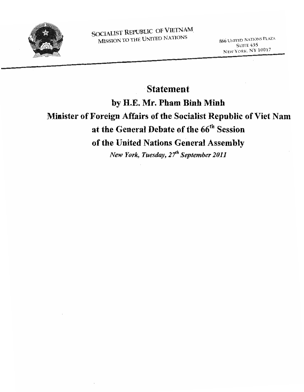

# **Statement by H.E. Mr. Pham Binh Minh Minister** of Foreign **Affairs** of the **Socialist Republic** of Viet **Nam**  at the General Debate of the 66<sup>th</sup> Session of the **United Nations General Assembly**  *New York, Tuesday, 21k September 2011*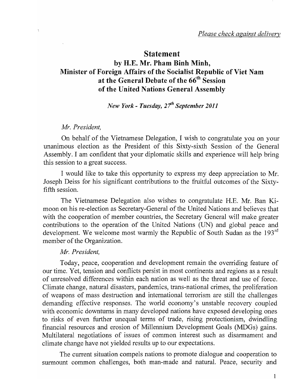# Statement by H.E. Mr. Pham Binh Minh, Minister of Foreign Affairs of the Socialist Republic of Viet Nam at the General Debate of the 66<sup>th</sup> Session of the United Nations General Assembly

*New York* - *Tuesday, 21h September 2011* 

### *Mr. President,*

 $\bar{\gamma}$ 

On behalf of the Vietnamese Delegation, I wish to congratulate you on your unanimous election as the President of this Sixty-sixth Session of the General Assembly. I am confident that your diplomatic skills and experience will help bring this session to a great success.

I would like to take this opportunity to express my deep appreciation to Mr. Joseph Deiss for his significant contributions to the fruitful outcomes of the Sixtyfifth session.

The Vietnamese Delegation also wishes to congratulate H.E. Mr. Ban Kimoon on his re-election as Secretary-General of the United Nations and believes that with the cooperation of member countries, the Secretary General will make greater contributions to the operation of the United Nations (UN) and global peace and development. We welcome most warmly the Republic of South Sudan as the 193<sup>rd</sup> member of the Organization.

### *Mr. President,*

Today, peace, cooperation and development remain the overriding feature of our time. Yet, tension and conflicts persist in most continents and regions as a result of unresolved differences within each nation as well as the threat and use of force. Climate change, natural disasters, pandemics, trans-national crimes, the proliferation of weapons of mass destruction and international terrorism are still the challenges demanding effective responses. The world economy's unstable recovery coupled with economic downturns in many developed nations have exposed developing ones to risks of even further unequal terms of trade, rising protectionism, dwindling financial resources and erosion of Millennium Development Goals (MDGs) gains. Multilateral negotiations of issues of common interest such as disarmament and climate change have not yielded results up to our expectations.

The current situation compels nations to promote dialogue and cooperation to surmount common challenges, both man-made and natural. Peace, security and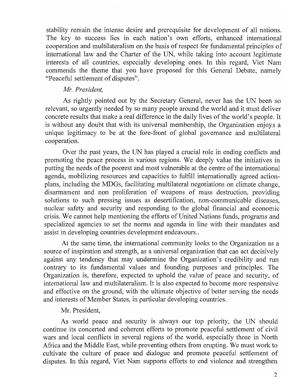stability remain the intense desire and prerequisite for development of all nations. The key to success lies in each nation's own efforts, enhanced international cooperation and multilateralism on the basis of respect for fundamental principles of international law and the Charter of the UN, while taking into account legitimate interests of all countries, especially developing ones. **In** this regard, Viet Nam commends the theme that you have proposed for this General Debate, namely "Peaceful settlement of disputes".

# *Mr. President,*

As rightly pointed out by the Secretary General, never has the UN been so relevant, so urgently needed by so many people around the world and it must deliver concrete results that make a real difference in the daily lives of the world's people. It is without any doubt that with its universal membership, the Organization enjoys a unique legitimacy to be at the fore-front of global governance and multilateral cooperation.

Over the past years, the UN has played a crucial role in ending conflicts and promoting the peace process in various regions. We deeply value the initiatives in putting the needs of the poorest and most vulnerable at the centre of the international agenda, mobilizing resources and capacities to fulfill internationally agreed actionplans, including the MDGs, facilitating multilateral negotiations on climate change, disarmament and non proliferation of weapons of mass destruction, providing solutions to such pressing issues as desertification, non-communicable diseases, nuclear safety and security and responding to the global financial and economic crisis. We cannot help mentioning the efforts of United Nations funds, programs and specialized agencies to set the norms and agenda in line with their mandates and assist in developing countries development endeavours..

At the same time, the international community looks to the Organization as a source of inspiration and strength, as a universal organization that can act decisively against any tendency that may undermine the Organization's credibility and run contrary to its fundamental values and founding purposes and principles. The Organization is, therefore, expected to uphold the value of peace and security, of international law and multilateralism. It is also expected to become more responsive and effective on the ground, with the ultimate objective of better serving the needs and interests of Member States, in particular developing countries.

# Mr. President,

As world peace and security is always our top priority, the UN should continue its concerted and coherent efforts to promote peaceful settlement of civil wars and local conflicts in several regions of the world, especially those in North Africa and the Middle East, while preventing others from erupting. We must work to cultivate the culture of peace and dialogue and promote peaceful settlement of disputes. In this regard, Viet Nam supports efforts to end violence and strengthen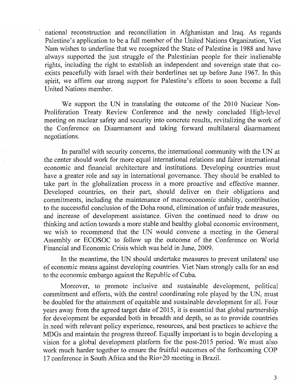national reconstruction and reconciliation in Afghanistan and Iraq. As regards Palestine's application to be a full member of the United Nations Organization, Viet Nam wishes to underline that we recognized the State of Palestine in 1988 and have always supported the just struggle of the Palestinian people for their inalienable rights, including the right to establish an independent and sovereign state that coexists peacefully with Israel with their borderlines set up before June 1967. In this spirit, we affirm our strong support for Palestine's efforts to soon become a full United Nations member.

We support the UN in translating the outcome of the 2010 Nuclear Non-Proliferation Treaty Review Conference and the newly concluded High-level meeting on nuclear safety and security into concrete results, revitalizing the work of the Conference on Disarmament and taking forward multilateral disarmament negotiations.

In parallel with security concerns, the international community with the UN at the center should work for more equal international relations and fairer international economic and financial architecture and institutions. Developing countries must have a greater role and say in international governance. They should be enabled to take part in the globalization process in a more proactive and effective manner. Developed countries, on their part, should deliver on their obligations and commitments, including the maintenance of macroeconomic stability, contribution to the successful conclusion of the Doha round, elimination of unfair trade measures, and increase of development assistance. Given the continued need to draw on thinking and action towards a more stable and healthy global economic environment, we wish to recommend that the UN would convene a meeting in the General Assembly or ECOSOC to follow up the outcome of the Conference on World Financial and Economic Crisis which was held in June, 2009.

In the meantime, the UN should undertake measures to prevent unilateral use of economic means against developing countries. Viet Nam strongly calls for an end to the economic embargo against the Republic of Cuba.

Moreover, to promote inclusive and sustainable development, political commitment and efforts, with the central coordinating role played by the UN, must be doubled for the attainment of equitable and sustainable development for all. Four years away from the agreed target date of 2015, it is essential that global partnership for development be expanded both in breadth and depth, so as to provide countries in need with relevant policy experience, resources, and best practices to achieve the MDGs and maintain the progress thereof. Equally important is to begin developing a vision for a global development platform for the post-2015 period. We must also work much harder together to ensure the fruitful outcomes of the forthcoming COP 17 conference in South Africa and the Rio+20 meeting in Brazil.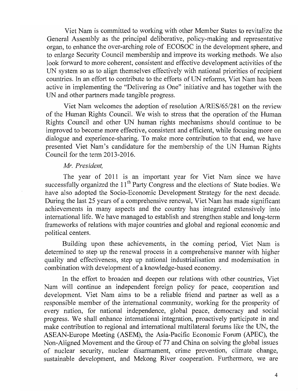Viet Nam is committed to working with other Member States to revitalize the General Assembly as the principal deliberative, policy-making and representative organ, to enhance the over-arching role of ECOSOC in the development sphere, and to enlarge Security Council membership and improve its working methods. We also look forward to more coherent, consistent and effective development activities of the UN system so as to align themselves effectively with national priorities of recipient countries. In an effort to contribute to the efforts of UN reforms, Viet Nam has been active in implementing the "Delivering as One" initiative and has together with the UN and other partners made tangible progress.

Viet Nam welcomes the adoption of resolution A/RES/65/281 on the review of the Human Rights Council. We wish to stress that the operation of the Human Rights Council and other UN human rights mechanisms should continue to be improved to become more effective, consistent and efficient, while focusing more on dialogue and experience-sharing. To make more contribution to that end, we have presented Viet Nam's candidature for the membership of the UN Human Rights Council for the term 2013-2016.

#### *Mr. President,*

The year of 2011 is an important year for Viet Nam since we have successfully organized the 11<sup>th</sup> Party Congress and the elections of State bodies. We have also adopted the Socio-Economic Development Strategy for the next decade. During the last 25 years of a comprehensive renewal, Viet Nam has made significant achievements in many aspects and the country has integrated extensively into international life. We have managed to establish and strengthen stable and long-term frameworks of relations with major countries and global and regional economic and political centers.

Building upon these achievements, in the coming period, Viet Nam is determined to step up the renewal process in a comprehensive manner with higher quality and effectiveness, step up national industrialisation and modernisation in combination with development of a knowledge-based economy.

In the effort to broaden and deepen our relations with other countries, Viet Nam will continue an independent foreign policy for peace, cooperation and development. Viet Nam aims to be a reliable friend and partner as well as a responsible member of the international community, working for the prosperity of every nation, for national independence, global peace, democracy and social progress. We shall enhance international integration, proactively participate in and make contribution to regional and international multilateral forums like the UN, the ASEAN-Europe Meeting (ASEM), the Asia-Pacific Economic Forum (APEC), the Non-Aligned Movement and the Group of 77 and China on solving the global issues of nuclear security, nuclear disarmament, crime prevention, climate change, sustainable development, and Mekong River cooperation. Furthermore, we are